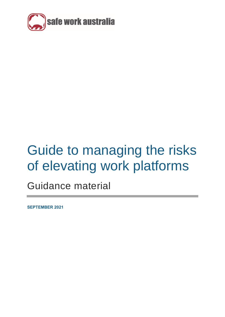

# Guide to managing the risks of elevating work platforms

Guidance material

**SEPTEMBER 2021**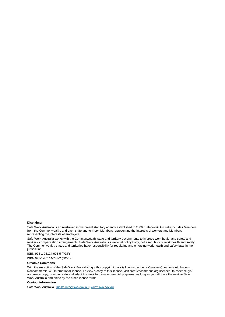#### **Disclaimer**

Safe Work Australia is an Australian Government statutory agency established in 2009. Safe Work Australia includes Members from the Commonwealth, and each state and territory, Members representing the interests of workers and Members representing the interests of employers.

Safe Work Australia works with the Commonwealth, state and territory governments to improve work health and safety and workers' compensation arrangements. Safe Work Australia is a national policy body, not a regulator of work health and safety. The Commonwealth, states and territories have responsibility for regulating and enforcing work health and safety laws in their jurisdiction.

ISBN 978-1-76114-995-5 (PDF)

ISBN 978-1-76114-743-2 (DOCX)

#### **Creative Commons**

With the exception of the Safe Work Australia logo, this copyright work is licensed under a Creative Commons Attribution-Noncommercial 4.0 International licence. To view a copy of this licence, visit creativecommons.org/licenses. In essence, you are free to copy, communicate and adapt the work for non-commercial purposes, as long as you attribute the work to Safe Work Australia and abide by the other licence terms.

#### **Contact information**

Safe Work Australia [| mailto:info@swa.gov.au](mailto:info@swa.gov.au) | [www.swa.gov.au](http://swa.hosts.application.enet/business-support/Communication/Documents/www.swa.gov.au)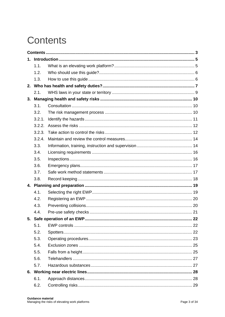# <span id="page-2-0"></span>**Contents**

| 1. |        |  |  |  |  |
|----|--------|--|--|--|--|
|    | 1.1.   |  |  |  |  |
|    | 1.2.   |  |  |  |  |
|    | 1.3.   |  |  |  |  |
|    |        |  |  |  |  |
|    | 2.1.   |  |  |  |  |
|    |        |  |  |  |  |
|    | 3.1.   |  |  |  |  |
|    | 3.2.   |  |  |  |  |
|    | 3.2.1. |  |  |  |  |
|    | 3.2.2. |  |  |  |  |
|    | 3.2.3. |  |  |  |  |
|    | 3.2.4. |  |  |  |  |
|    | 3.3.   |  |  |  |  |
|    | 3.4.   |  |  |  |  |
|    | 3.5.   |  |  |  |  |
|    | 3.6.   |  |  |  |  |
|    | 3.7.   |  |  |  |  |
|    | 3.8.   |  |  |  |  |
|    |        |  |  |  |  |
|    | 4.1.   |  |  |  |  |
|    | 4.2.   |  |  |  |  |
|    | 4.3.   |  |  |  |  |
|    | 4.4.   |  |  |  |  |
|    |        |  |  |  |  |
|    | 5.1.   |  |  |  |  |
|    | 5.2.   |  |  |  |  |
|    | 5.3.   |  |  |  |  |
|    | 5.4.   |  |  |  |  |
|    | 5.5.   |  |  |  |  |
|    | 5.6.   |  |  |  |  |
|    | 5.7.   |  |  |  |  |
|    |        |  |  |  |  |
|    | 6.1.   |  |  |  |  |
|    | 6.2.   |  |  |  |  |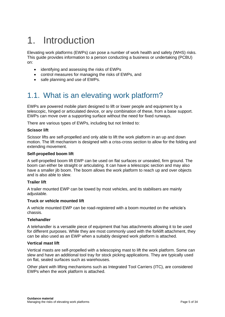# <span id="page-4-0"></span>1. Introduction

Elevating work platforms (EWPs) can pose a number of work health and safety (WHS) risks. This guide provides information to a person conducting a business or undertaking (PCBU) on:

- identifying and assessing the risks of EWPs
- control measures for managing the risks of EWPs, and
- safe planning and use of EWPs.

# <span id="page-4-1"></span>1.1. What is an elevating work platform?

EWPs are powered mobile plant designed to lift or lower people and equipment by a telescopic, hinged or articulated device, or any combination of these, from a base support. EWPs can move over a supporting surface without the need for fixed runways.

There are various types of EWPs, including but not limited to:

#### **Scissor lift**

Scissor lifts are self-propelled and only able to lift the work platform in an up and down motion. The lift mechanism is designed with a criss-cross section to allow for the folding and extending movement.

#### **Self-propelled boom lift**

A self-propelled boom lift EWP can be used on flat surfaces or unsealed, firm ground. The boom can either be straight or articulating. It can have a telescopic section and may also have a smaller jib boom. The boom allows the work platform to reach up and over objects and is also able to slew.

#### **Trailer lift**

A trailer mounted EWP can be towed by most vehicles, and its stabilisers are mainly adjustable.

#### **Truck or vehicle mounted lift**

A vehicle mounted EWP can be road-registered with a boom mounted on the vehicle's chassis.

#### **Telehandler**

A telehandler is a versatile piece of equipment that has attachments allowing it to be used for different purposes. While they are most commonly used with the forklift attachment, they can be also used as an EWP when a suitably designed work platform is attached.

#### **Vertical mast lift**

Vertical masts are self-propelled with a telescoping mast to lift the work platform. Some can slew and have an additional tool tray for stock picking applications. They are typically used on flat, sealed surfaces such as warehouses.

Other plant with lifting mechanisms such as Integrated Tool Carriers (ITC), are considered EWPs when the work platform is attached.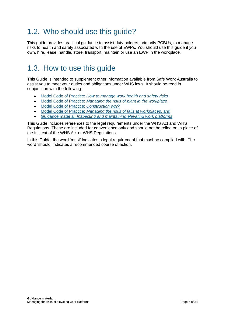# <span id="page-5-0"></span>1.2. Who should use this guide?

This guide provides practical guidance to assist duty holders, primarily PCBUs, to manage risks to health and safety associated with the use of EWPs. You should use this guide if you own, hire, lease, handle, store, transport, maintain or use an EWP in the workplace.

# <span id="page-5-1"></span>1.3. How to use this guide

This Guide is intended to supplement other information available from Safe Work Australia to assist you to meet your duties and obligations under WHS laws. It should be read in conjunction with the following:

- Model Code of Practice: *[How to manage work health and safety risks](https://www.safeworkaustralia.gov.au/doc/model-code-practice-how-manage-work-health-and-safety-risks)*
- Model Code of Practice: *Managing the [risks of plant in the workplace](https://www.safeworkaustralia.gov.au/doc/model-code-practice-managing-risks-plant-workplace)*
- Model Code of Practice: *[Construction work](https://www.safeworkaustralia.gov.au/doc/model-code-practice-construction-work)*
- Model Code of Practice: *[Managing the risks of falls at workplaces](https://www.safeworkaustralia.gov.au/doc/model-code-practice-managing-risk-falls-workplaces)*, and
- Guidance material: *[Inspecting and maintaining elevating work platforms](https://www.safeworkaustralia.gov.au/doc/guide-inspecting-and-maintaining-elevating-work-platforms)*.

This Guide includes references to the legal requirements under the WHS Act and WHS Regulations. These are included for convenience only and should not be relied on in place of the full text of the WHS Act or WHS Regulations.

In this Guide, the word 'must' indicates a legal requirement that must be complied with. The word 'should' indicates a recommended course of action.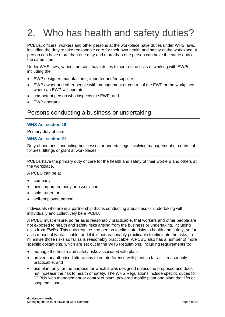# <span id="page-6-0"></span>2. Who has health and safety duties?

PCBUs, officers, workers and other persons at the workplace have duties under WHS laws, including the duty to take reasonable care for their own health and safety at the workplace. A person can have more than one duty and more than one person can have the same duty at the same time.

Under WHS laws, various persons have duties to control the risks of working with EWPs, including the:

- EWP designer, manufacturer, importer and/or supplier
- EWP owner and other people with management or control of the EWP or the workplace where an EWP will operate
- competent person who inspects the EWP, and
- EWP operator.

#### Persons conducting a business or undertaking

#### **WHS Act section 19**

Primary duty of care

#### **WHS Act section 21**

Duty of persons conducting businesses or undertakings involving management or control of fixtures, fittings or plant at workplaces

PCBUs have the primary duty of care for the health and safety of their workers and others at the workplace.

A PCBU can be a:

- company
- unincorporated body or association
- sole trader, or
- self-employed person.

Individuals who are in a partnership that is conducting a business or undertaking will individually and collectively be a PCBU.

A PCBU must ensure, so far as is reasonably practicable, that workers and other people are not exposed to health and safety risks arising from the business or undertaking, including risks from EWPs. This duty requires the person to eliminate risks to health and safety, so far as is reasonably practicable, and if it is not reasonably practicable to eliminate the risks, to minimise those risks so far as is reasonably practicable. A PCBU also has a number of more specific obligations, which are set out in the WHS Regulations, including requirements to:

- manage the health and safety risks associated with plant
- prevent unauthorised alterations to or interference with plant so far as is reasonably practicable, and
- use plant only for the purpose for which it was designed unless the proposed use does not increase the risk to health or safety. The WHS Regulations include specific duties for PCBUs with management or control of plant, powered mobile plant and plant that lifts or suspends loads.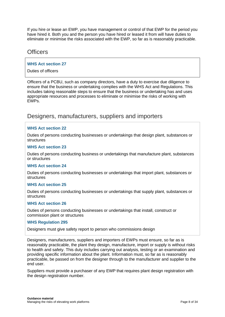If you hire or lease an EWP, you have management or control of that EWP for the period you have hired it. Both you and the person you have hired or leased it from will have duties to eliminate or minimise the risks associated with the EWP, so far as is reasonably practicable.

#### **Officers**

#### **WHS Act section 27**

Duties of officers

Officers of a PCBU, such as company directors, have a duty to exercise due diligence to ensure that the business or undertaking complies with the WHS Act and Regulations. This includes taking reasonable steps to ensure that the business or undertaking has and uses appropriate resources and processes to eliminate or minimise the risks of working with EWPs.

#### Designers, manufacturers, suppliers and importers

#### **WHS Act section 22**

Duties of persons conducting businesses or undertakings that design plant, substances or structures

#### **WHS Act section 23**

Duties of persons conducting business or undertakings that manufacture plant, substances or structures

#### **WHS Act section 24**

Duties of persons conducting businesses or undertakings that import plant, substances or **structures** 

#### **WHS Act section 25**

Duties of persons conducting businesses or undertakings that supply plant, substances or structures

#### **WHS Act section 26**

Duties of persons conducting businesses or undertakings that install, construct or commission plant or structures

#### **WHS Regulation 295**

Designers must give safety report to person who commissions design

Designers, manufacturers, suppliers and importers of EWPs must ensure, so far as is reasonably practicable, the plant they design, manufacture, import or supply is without risks to health and safety. This duty includes carrying out analysis, testing or an examination and providing specific information about the plant. Information must, so far as is reasonably practicable, be passed on from the designer through to the manufacturer and supplier to the end user.

Suppliers must provide a purchaser of any EWP that requires plant design registration with the design registration number.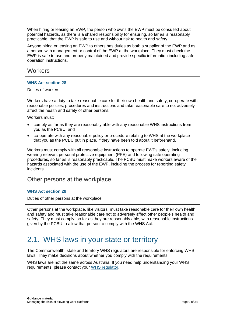When hiring or leasing an EWP, the person who owns the EWP must be consulted about potential hazards, as there is a shared responsibility for ensuring, so far as is reasonably practicable, that the EWP is safe to use and without risk to health and safety.

Anyone hiring or leasing an EWP to others has duties as both a supplier of the EWP and as a person with management or control of the EWP at the workplace. They must check the EWP is safe to use and properly maintained and provide specific information including safe operation instructions.

#### **Workers**

#### **WHS Act section 28**

Duties of workers

Workers have a duty to take reasonable care for their own health and safety, co-operate with reasonable policies, procedures and instructions and take reasonable care to not adversely affect the health and safety of other persons.

Workers must:

- comply as far as they are reasonably able with any reasonable WHS instructions from you as the PCBU, and
- co-operate with any reasonable policy or procedure relating to WHS at the workplace that you as the PCBU put in place, if they have been told about it beforehand.

Workers must comply with all reasonable instructions to operate EWPs safely, including wearing relevant personal protective equipment (PPE) and following safe operating procedures, so far as is reasonably practicable. The PCBU must make workers aware of the hazards associated with the use of the EWP, including the process for reporting safety incidents.

#### Other persons at the workplace

#### **WHS Act section 29**

Duties of other persons at the workplace

Other persons at the workplace, like visitors, must take reasonable care for their own health and safety and must take reasonable care not to adversely affect other people's health and safety. They must comply, so far as they are reasonably able, with reasonable instructions given by the PCBU to allow that person to comply with the WHS Act.

## <span id="page-8-0"></span>2.1. WHS laws in your state or territory

The Commonwealth, state and territory WHS regulators are responsible for enforcing WHS laws. They make decisions about whether you comply with the requirements.

WHS laws are not the same across Australia. If you need help understanding your WHS requirements, please contact your [WHS regulator.](https://www.safeworkaustralia.gov.au/whs-authorities-contact-information)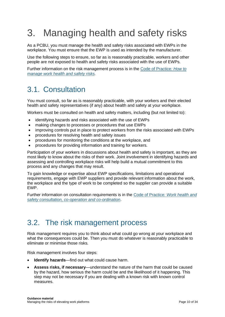# <span id="page-9-0"></span>3. Managing health and safety risks

As a PCBU, you must manage the health and safety risks associated with EWPs in the workplace. You must ensure that the EWP is used as intended by the manufacturer.

Use the following steps to ensure, so far as is reasonably practicable, workers and other people are not exposed to health and safety risks associated with the use of EWPs.

Further information on the risk management process is in the [Code of Practice](https://www.safeworkaustralia.gov.au/doc/model-code-practice-how-manage-work-health-and-safety-risks)*: How to [manage work health and safety risks.](https://www.safeworkaustralia.gov.au/doc/model-code-practice-how-manage-work-health-and-safety-risks)*

### <span id="page-9-1"></span>3.1. Consultation

You must consult, so far as is reasonably practicable, with your workers and their elected health and safety representatives (if any) about health and safety at your workplace.

Workers must be consulted on health and safety matters, including (but not limited to):

- identifying hazards and risks associated with the use of EWPs
- making changes to processes or procedures that use EWPs
- improving controls put in place to protect workers from the risks associated with EWPs
- procedures for resolving health and safety issues
- procedures for monitoring the conditions at the workplace, and
- procedures for providing information and training for workers.

Participation of your workers in discussions about health and safety is important, as they are most likely to know about the risks of their work. Joint involvement in identifying hazards and assessing and controlling workplace risks will help build a mutual commitment to this process and any changes that may result.

To gain knowledge or expertise about EWP specifications, limitations and operational requirements, engage with EWP suppliers and provide relevant information about the work, the workplace and the type of work to be completed so the supplier can provide a suitable EWP.

Further information on consultation requirements is in the Code of Practice*[: Work health and](https://www.safeworkaustralia.gov.au/doc/model-code-practice-work-health-and-safety-consultation-cooperation-and-coordination)  [safety consultation, co-operation and co-ordination](https://www.safeworkaustralia.gov.au/doc/model-code-practice-work-health-and-safety-consultation-cooperation-and-coordination)*.

### <span id="page-9-2"></span>3.2. The risk management process

Risk management requires you to think about what could go wrong at your workplace and what the consequences could be. Then you must do whatever is reasonably practicable to eliminate or minimise those risks.

Risk management involves four steps:

- **Identify hazards**—find out what could cause harm.
- **Assess risks, if necessary**—understand the nature of the harm that could be caused by the hazard, how serious the harm could be and the likelihood of it happening. This step may not be necessary if you are dealing with a known risk with known control measures.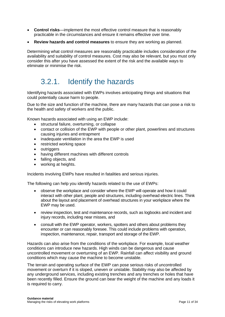- **Control risks**—implement the most effective control measure that is reasonably practicable in the circumstances and ensure it remains effective over time.
- **Review hazards and control measures** to ensure they are working as planned.

Determining what control measures are reasonably practicable includes consideration of the availability and suitability of control measures. Cost may also be relevant, but you must only consider this after you have assessed the extent of the risk and the available ways to eliminate or minimise the risk.

# <span id="page-10-0"></span>3.2.1. Identify the hazards

Identifying hazards associated with EWPs involves anticipating things and situations that could potentially cause harm to people.

Due to the size and function of the machine, there are many hazards that can pose a risk to the health and safety of workers and the public.

Known hazards associated with using an EWP include:

- structural failure, overturning, or collapse
- contact or collision of the EWP with people or other plant, powerlines and structures causing injuries and entrapment
- inadequate ventilation in the area the EWP is used
- restricted working space
- outriggers
- having different machines with different controls
- falling objects, and
- working at heights.

Incidents involving EWPs have resulted in fatalities and serious injuries.

The following can help you identify hazards related to the use of EWPs:

- observe the workplace and consider where the EWP will operate and how it could interact with other plant, people and structures, including overhead electric lines. Think about the layout and placement of overhead structures in your workplace where the EWP may be used.
- review inspection, test and maintenance records, such as logbooks and incident and injury records, including near misses, and
- consult with the EWP operator, workers, spotters and others about problems they encounter or can reasonably foresee. This could include problems with operation, inspection, maintenance, repair, transport and storage of the EWP.

Hazards can also arise from the conditions of the workplace. For example, local weather conditions can introduce new hazards. High winds can be dangerous and cause uncontrolled movement or overturning of an EWP. Rainfall can affect visibility and ground conditions which may cause the machine to become unstable.

The terrain and operating surface of the EWP can pose serious risks of uncontrolled movement or overturn if it is sloped, uneven or unstable. Stability may also be affected by any underground services, including existing trenches and any trenches or holes that have been recently filled. Ensure the ground can bear the weight of the machine and any loads it is required to carry.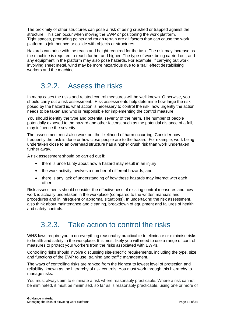The proximity of other structures can pose a risk of being crushed or trapped against the structure. This can occur when moving the EWP or positioning the work platform. Tight spaces, protruding points and rough terrain are all factors than can cause the work platform to jolt, bounce or collide with objects or structures.

Hazards can arise with the reach and height required for the task. The risk may increase as the machine is required to reach further and higher. The type of work being carried out, and any equipment in the platform may also pose hazards. For example, if carrying out work involving sheet metal, wind may be more hazardous due to a 'sail' effect destabilising workers and the machine.

### <span id="page-11-0"></span>3.2.2. Assess the risks

In many cases the risks and related control measures will be well known. Otherwise, you should carry out a risk assessment. Risk assessments help determine how large the risk posed by the hazard is, what action is necessary to control the risk, how urgently the action needs to be taken and who is responsible for implementing the control measure.

You should identify the type and potential severity of the harm. The number of people potentially exposed to the hazard and other factors, such as the potential distance of a fall, may influence the severity.

The assessment must also work out the likelihood of harm occurring. Consider how frequently the task is done or how close people are to the hazard. For example, work being undertaken close to an overhead structure has a higher crush risk than work undertaken further away.

A risk assessment should be carried out if:

- there is uncertainty about how a hazard may result in an injury
- the work activity involves a number of different hazards, and
- there is any lack of understanding of how these hazards may interact with each other.

Risk assessments should consider the effectiveness of existing control measures and how work is actually undertaken in the workplace (compared to the written manuals and procedures and in infrequent or abnormal situations). In undertaking the risk assessment, also think about maintenance and cleaning, breakdown of equipment and failures of health and safety controls.

## <span id="page-11-1"></span>3.2.3. Take action to control the risks

WHS laws require you to do everything reasonably practicable to eliminate or minimise risks to health and safety in the workplace. It is most likely you will need to use a range of control measures to protect your workers from the risks associated with EWPs.

Controlling risks should involve discussing site-specific requirements, including the type, size and functions of the EWP to use, training and traffic management.

The ways of controlling risks are ranked from the highest to lowest level of protection and reliability, known as the hierarchy of risk controls. You must work through this hierarchy to manage risks.

You must always aim to eliminate a risk where reasonably practicable. Where a risk cannot be eliminated, it must be minimised, so far as is reasonably practicable, using one or more of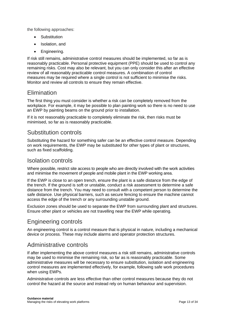the following approaches:

- Substitution
- Isolation, and
- Engineering.

If risk still remains, administrative control measures should be implemented, so far as is reasonably practicable. Personal protective equipment [\(PPE\)](https://www.safeworkaustralia.gov.au/glossary#ppe) should be used to control any remaining [risks.](https://www.safeworkaustralia.gov.au/glossary#risks) Cost may also be relevant, but you can only consider this after an effective review of all reasonably practicable control measures. A combination of control measures may be required where a single control is not sufficient to minimise the risks. Monitor and review all controls to ensure they remain effective.

#### **Elimination**

The first thing you must consider is whether a risk can be completely removed from the workplace. For example, it may be possible to plan painting work so there is no need to use an EWP by painting beams on the ground prior to installation.

If it is not reasonably practicable to completely eliminate the risk, then risks must be minimised, so far as is reasonably practicable.

#### Substitution controls

Substituting the hazard for something safer can be an effective control measure. Depending on work requirements, the EWP may be substituted for other types of plant or structures, such as fixed scaffolding.

#### Isolation controls

Where possible, restrict site access to people who are directly involved with the work activities and minimise the movement of people and mobile plant in the EWP working area.

If the EWP is close to an open trench, ensure the plant is a safe distance from the edge of the trench. If the ground is soft or unstable, conduct a risk assessment to determine a safe distance from the trench. You may need to consult with a competent person to determine the safe distance. Use physical barriers, such as secure fencing to ensure the machine cannot access the edge of the trench or any surrounding unstable ground.

Exclusion zones should be used to separate the EWP from surrounding plant and structures. Ensure other plant or vehicles are not travelling near the EWP while operating.

### Engineering controls

An engineering control is a control measure that is physical in nature, including a mechanical device or process. These may include alarms and operator protection structures.

#### Administrative controls

If after implementing the above control measures a risk still remains, administrative controls may be used to minimise the remaining risk, so far as is reasonably practicable. Some administrative measures will be necessary to ensure substitution, isolation and engineering control measures are implemented effectively, for example, following safe work procedures when using EWPs.

Administrative controls are less effective than other control measures because they do not control the hazard at the source and instead rely on human behaviour and supervision.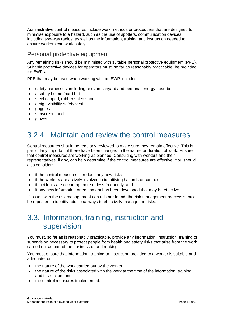Administrative control measures include work methods or procedures that are designed to minimise exposure to a hazard, such as the use of spotters, communication devices, including two-way radios, as well as the information, training and instruction needed to ensure workers can work safely.

### Personal protective equipment

Any remaining risks should be minimised with suitable personal protective equipment (PPE). Suitable protective devices for operators must, so far as reasonably practicable, be provided for EWPs.

PPE that may be used when working with an EWP includes:

- safety harnesses, including relevant lanyard and personal energy absorber
- a safety helmet/hard hat
- steel capped, rubber soled shoes
- a high visibility safety vest
- goggles
- sunscreen, and
- <span id="page-13-0"></span>• aloves.

# 3.2.4. Maintain and review the control measures

Control measures should be regularly reviewed to make sure they remain effective. This is particularly important if there have been changes to the nature or duration of work. Ensure that control measures are working as planned. Consulting with workers and their representatives, if any, can help determine if the control measures are effective. You should also consider:

- if the control measures introduce any new risks
- if the workers are actively involved in identifying hazards or controls
- if incidents are occurring more or less frequently, and
- if any new information or equipment has been developed that may be effective.

<span id="page-13-1"></span>If issues with the risk management controls are found, the risk management process should be repeated to identify additional ways to effectively manage the risks.

### 3.3. Information, training, instruction and supervision

You must, so far as is reasonably practicable, provide any information, instruction, training or supervision necessary to protect people from health and safety risks that arise from the work carried out as part of the business or undertaking.

You must ensure that information, training or instruction provided to a worker is suitable and adequate for:

- the nature of the work carried out by the worker
- the nature of the risks associated with the work at the time of the information, training and instruction, and
- the control measures implemented.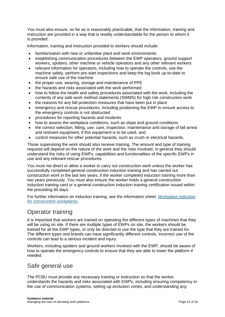You must also ensure, so far as is reasonably practicable, that the information, training and instruction are provided in a way that is readily understandable for the person to whom it is provided.

Information, training and instruction provided to workers should include:

- familiarisation with new or unfamiliar plant and work environments
- establishing communication procedures between the EWP operators, ground support workers, spotters, other machine or vehicle operators and any other relevant workers
- relevant information for operators, including how to operate the controls, use the machine safely, perform pre-start inspections and keep the log book up-to-date to ensure safe use of the machine
- the proper use, wearing, storage and maintenance of PPE
- the hazards and risks associated with the work performed
- how to follow the health and safety procedures associated with the work, including the contents of any safe work method statements (SWMS) for high risk construction work
- the reasons for any fall protection measures that have been put in place
- emergency and rescue procedures, including positioning the EWP to ensure access to the emergency controls is not obstructed
- procedures for reporting hazards and incidents
- how to assess the workplace conditions, such as slope and ground conditions
- the correct selection, fitting, use, care, inspection, maintenance and storage of fall arrest and restraint equipment, if this equipment is to be used, and
- control measures for other potential hazards, such as crush or electrical hazards.

Those supervising the work should also receive training. The amount and type of training required will depend on the nature of the work and the risks involved, in general they should understand the risks of using EWPs, capabilities and functionalities of the specific EWPs in use and any relevant rescue procedures.

You must not direct or allow a worker to carry out construction work unless the worker has successfully completed general construction induction training and has carried out construction work in the last two years, if the worker completed induction training more than two years previously. You must also ensure the worker holds a general construction induction training card or a general construction induction training certification issued within the preceding 60 days.

For further information on induction training, see the information sheet: *[Workplace induction](https://www.safeworkaustralia.gov.au/system/files/documents/1703/information-sheet-work-induction-for-construction.pdf)  [for construction workplaces.](https://www.safeworkaustralia.gov.au/system/files/documents/1703/information-sheet-work-induction-for-construction.pdf)* 

### Operator training

It is important that workers are trained on operating the different types of machines that they will be using on site. If there are multiple types of EWPs on site, the workers should be trained for all the EWP types, or only be directed to use the type that they are trained for. The different types and brands can have significantly different controls. Incorrect use of the controls can lead to a serious incident and injury.

Workers, including spotters and ground workers involved with the EWP, should be aware of how to operate the emergency controls to ensure that they are able to lower the platform if needed.

### Safe general use

The PCBU must provide any necessary training or instruction so that the worker understands the hazards and risks associated with EWPs, including ensuring competency in the use of communication systems, setting up exclusion zones, and understanding any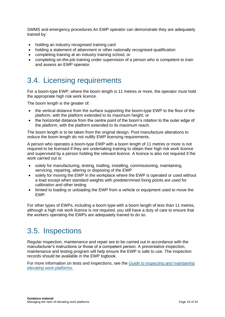SWMS and emergency procedures.An EWP operator can demonstrate they are adequately trained by:

- holding an industry recognised training card
- holding a statement of attainment or other nationally recognised qualification
- completing training at an industry training school, or
- completing on-the-job training under supervision of a person who is competent to train and assess an EWP operator.

# <span id="page-15-0"></span>3.4. Licensing requirements

For a boom-type EWP, where the boom length is 11 metres or more, the operator must hold the appropriate high risk work licence.

The boom length is the greater of:

- the vertical distance from the surface supporting the boom-type EWP to the floor of the platform, with the platform extended to its maximum height; or
- the horizontal distance from the centre point of the boom's rotation to the outer edge of the platform, with the platform extended to its maximum reach.

The boom length is to be taken from the original design. Post manufacture alterations to reduce the boom length do not nullify EWP licensing requirements.

A person who operates a boom-type EWP with a boom length of 11 metres or more is not required to be licensed if they are undertaking training to obtain their high risk work licence and supervised by a person holding the relevant licence. A licence is also not required if the work carried out is:

- solely for manufacturing, testing, trialling, installing, commissioning, maintaining, servicing, repairing, altering or disposing of the EWP
- solely for moving the EWP in the workplace where the EWP is operated or used without a load except when standard weights with predetermined fixing points are used for calibration and other testing
- limited to loading or unloading the EWP from a vehicle or equipment used to move the EWP.

For other types of EWPs, including a boom-type with a boom length of less than 11 metres, although a high risk work licence is not required, you still have a duty of care to ensure that the workers operating the EWPs are adequately trained to do so.

### <span id="page-15-1"></span>3.5. Inspections

Regular inspection, maintenance and repair are to be carried out in accordance with the manufacturer's instructions or those of a competent person. A preventative inspection, maintenance and testing program will help ensure the EWP is safe to use. The inspection records should be available in the EWP logbook.

For more information on tests and inspections, see the *[Guide to inspecting and maintaining](https://www.safeworkaustralia.gov.au/doc/guide-inspecting-and-maintaining-elevating-work-platforms)  [elevating work platforms](https://www.safeworkaustralia.gov.au/doc/guide-inspecting-and-maintaining-elevating-work-platforms)*.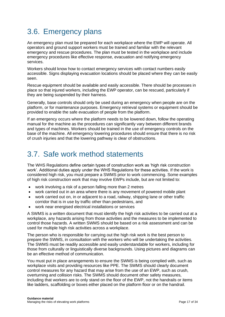# <span id="page-16-0"></span>3.6. Emergency plans

An emergency plan must be prepared for each workplace where the EWP will operate. All operators and ground support workers must be trained and familiar with the relevant emergency and rescue procedures. The plan must be tested in the workplace and include emergency procedures like effective response, evacuation and notifying emergency services.

Workers should know how to contact emergency services with contact numbers easily accessible. Signs displaying evacuation locations should be placed where they can be easily seen.

Rescue equipment should be available and easily accessible. There should be processes in place so that injured workers, including the EWP operator, can be rescued, particularly if they are being suspended by their harness.

Generally, base controls should only be used during an emergency when people are on the platform, or for maintenance purposes. Emergency retrieval systems or equipment should be provided to enable the safe evacuation of people from the platform.

If an emergency occurs where the platform needs to be lowered down, follow the operating manual for the machine as the procedures can significantly vary between different brands and types of machines. Workers should be trained in the use of emergency controls on the base of the machine. All emergency lowering procedures should ensure that there is no risk of crush injuries and that the lowering pathway is clear of obstructions.

### <span id="page-16-1"></span>3.7. Safe work method statements

The WHS Regulations define certain types of construction work as 'high risk construction work'. Additional duties apply under the WHS Regulations for these activities. If the work is considered high risk, you must prepare a SWMS prior to work commencing. Some examples of high risk construction work that may involve EWPs include, but are not limited to:

- work involving a risk of a person falling more than 2 metres
- work carried out in an area where there is any movement of powered mobile plant
- work carried out on, in or adjacent to a road, railway, shipping lane or other traffic corridor that is in use by traffic other than pedestrians, and
- work near energised electrical installations or services

A SWMS is a written document that must identify the high risk activities to be carried out at a workplace, any hazards arising from those activities and the measures to be implemented to control those hazards. A written SWMS should be based on a risk assessment and can be used for multiple high risk activities across a workplace.

The person who is responsible for carrying out the high risk work is the best person to prepare the SWMS, in consultation with the workers who will be undertaking the activities. The SWMS must be readily accessible and easily understandable for workers, including for those from culturally or linguistically diverse backgrounds. Using pictures and diagrams can be an effective method of communication.

You must put in place arrangements to ensure the SWMS is being complied with, such as workplace visits and providing resources like PPE. The SWMS should clearly document control measures for any hazard that may arise from the use of an EWP, such as crush, overturning and collision risks. The SWMS should document other safety measures, including that workers are to only stand on the floor of the EWP, not the handrails or items like ladders, scaffolding or boxes either placed on the platform floor or on the handrail.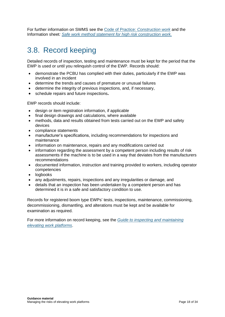For further information on SWMS see the Code of Practice: *[Construction work](https://www.safeworkaustralia.gov.au/doc/model-code-practice-construction-work)* and the Information sheet*: [Safe work method statement for high risk construction work.](https://www.safeworkaustralia.gov.au/doc/safe-work-method-statement-high-risk-construction-work-information-sheet)*

# <span id="page-17-0"></span>3.8. Record keeping

Detailed records of inspection, testing and maintenance must be kept for the period that the EWP is used or until you relinquish control of the EWP. Records should:

- demonstrate the PCBU has complied with their duties, particularly if the EWP was involved in an incident
- determine the trends and causes of premature or unusual failures
- determine the integrity of previous inspections, and, if necessary,
- schedule repairs and future inspections**.**

EWP records should include:

- design or item registration information, if applicable
- final design drawings and calculations, where available
- methods, data and results obtained from tests carried out on the EWP and safety devices
- compliance statements
- manufacturer's specifications, including recommendations for inspections and maintenance
- information on maintenance, repairs and any modifications carried out
- information regarding the assessment by a competent person including results of risk assessments if the machine is to be used in a way that deviates from the manufacturers recommendations
- documented information, instruction and training provided to workers, including operator competencies
- logbooks
- any adjustments, repairs, inspections and any irregularities or damage, and
- details that an inspection has been undertaken by a competent person and has determined it is in a safe and satisfactory condition to use.

Records for registered boom type EWPs' tests, inspections, maintenance, commissioning, decommissioning, dismantling, and alterations must be kept and be available for examination as required.

For more information on record keeping, see the *[Guide to inspecting and maintaining](https://www.safeworkaustralia.gov.au/doc/guide-inspecting-and-maintaining-elevating-work-platforms) [elevating work](https://www.safeworkaustralia.gov.au/doc/guide-inspecting-and-maintaining-elevating-work-platforms) platforms*.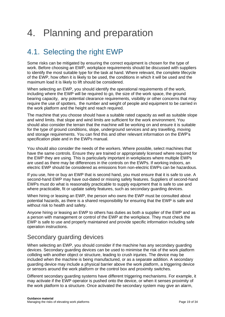# <span id="page-18-0"></span>4. Planning and preparation

# <span id="page-18-1"></span>4.1. Selecting the right EWP

Some risks can be mitigated by ensuring the correct equipment is chosen for the type of work. Before choosing an EWP, workplace requirements should be discussed with suppliers to identify the most suitable type for the task at hand. Where relevant, the complete lifecycle of the EWP, how often it is likely to be used, the conditions in which it will be used and the maximum load it is likely to lift should be considered.

When selecting an EWP, you should identify the operational requirements of the work, including where the EWP will be required to go, the size of the work space, the ground bearing capacity, any potential clearance requirements, visibility or other concerns that may require the use of spotters, the number and weight of people and equipment to be carried in the work platform and the height and reach required.

The machine that you choose should have a suitable rated capacity as well as suitable slope and wind limits. that slope and wind limits are sufficient for the work environment. You should also consider the terrain that the machine will be working on and ensure it is suitable for the type of ground conditions, slope, underground services and any travelling, moving and storage requirements. You can find this and other relevant information on the EWP's specification plate and in the EWPs manual.

You should also consider the needs of the workers. Where possible, select machines that have the same controls. Ensure they are trained or appropriately licensed where required for the EWP they are using. This is particularly important in workplaces where multiple EWPs are used as there may be differences in the controls on the EWPs. If working indoors, an electric EWP should be considered as emissions from non-electric EWPs can be hazardous.

If you use, hire or buy an EWP that is second hand, you must ensure that it is safe to use. A second-hand EWP may have out-dated or missing safety features. Suppliers of second-hand EWPs must do what is reasonably practicable to supply equipment that is safe to use and where practicable, fit or update safety features, such as secondary guarding devices.

When hiring or leasing an EWP, the person who owns the EWP must be consulted about potential hazards, as there is a shared responsibility for ensuring that the EWP is safe and without risk to health and safety.

Anyone hiring or leasing an EWP to others has duties as both a supplier of the EWP and as a person with management or control of the EWP at the workplace. They must check the EWP is safe to use and properly maintained and provide specific information including safe operation instructions.

### Secondary quarding devices

When selecting an EWP, you should consider if the machine has any secondary guarding devices. Secondary guarding devices can be used to minimise the risk of the work platform colliding with another object or structure, leading to crush injuries. The device may be included when the machine is being manufactured, or as a separate addition. A secondary guarding device may include a physical barrier above the work platform, a triggering device or sensors around the work platform or the control box and proximity switches.

Different secondary guarding systems have different triggering mechanisms. For example, it may activate if the EWP operator is pushed onto the device, or when it senses proximity of the work platform to a structure. Once activated the secondary system may give an alarm,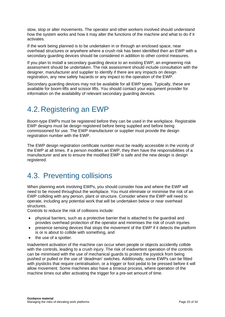slow, stop or alter movements. The operator and other workers involved should understand how the system works and how it may alter the functions of the machine and what to do if it activates.

If the work being planned is to be undertaken in or through an enclosed space, near overhead structures or anywhere where a crush risk has been identified then an EWP with a secondary guarding devices should be considered in addition to other control measures.

If you plan to install a secondary guarding device to an existing EWP, an engineering risk assessment should be undertaken. The risk assessment should include consultation with the designer, manufacturer and supplier to identify if there are any impacts on design registration, any new safety hazards or any impact to the operation of the EWP.

Secondary guarding devices may not be available for all EWP types. Typically, these are available for boom-lifts and scissor lifts. You should contact your equipment provider for information on the availability of relevant secondary guarding devices.

### <span id="page-19-0"></span>4.2.Registering an EWP

Boom-type EWPs must be registered before they can be used in the workplace. Registrable EWP designs must be design registered before being supplied and before being commissioned for use. The EWP manufacturer or supplier must provide the design registration number with the EWP.

The EWP design registration certificate number must be readily accessible in the vicinity of the EWP at all times. If a person modifies an EWP, they then have the responsibilities of a manufacturer and are to ensure the modified EWP is safe and the new design is design registered.

## <span id="page-19-1"></span>4.3. Preventing collisions

When planning work involving EWPs, you should consider how and where the EWP will need to be moved throughout the workplace. You must eliminate or minimise the risk of an EWP colliding with any person, plant or structure. Consider where the EWP will need to operate, including any potential work that will be undertaken below or near overhead structures.

Controls to reduce the risk of collisions include:

- physical barriers, such as a protective barrier that is attached to the guardrail and provides overhead protection of the operator and minimises the risk of crush injuries
- presence sensing devices that stops the movement of the EWP if it detects the platform is or is about to collide with something, and
- the use of a spotter.

Inadvertent activation of the machine can occur when people or objects accidently collide with the controls, leading to a crush injury. The risk of inadvertent operation of the controls can be minimised with the use of mechanical guards to protect the joystick from being pushed or pulled or the use of 'deadman' switches. Additionally, some EWPs can be fitted with joysticks that require centralisation, or a trigger or foot pedal to be pressed before it will allow movement. Some machines also have a timeout process, where operation of the machine times out after activating the trigger for a pre-set amount of time.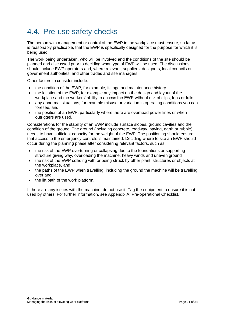## <span id="page-20-0"></span>4.4. Pre-use safety checks

The person with management or control of the EWP in the workplace must ensure, so far as is reasonably practicable, that the EWP is specifically designed for the purpose for which it is being used.

The work being undertaken, who will be involved and the conditions of the site should be planned and discussed prior to deciding what type of EWP will be used. The discussions should include EWP operators and, where relevant, suppliers, designers, local councils or government authorities, and other trades and site managers.

Other factors to consider include:

- the condition of the EWP, for example, its age and maintenance history
- the location of the EWP, for example any impact on the design and layout of the workplace and the workers' ability to access the EWP without risk of slips, trips or falls,
- any abnormal situations, for example misuse or variation in operating conditions you can foresee, and
- the position of an EWP, particularly where there are overhead power lines or when outriggers are used.

Considerations for the stability of an EWP include surface slopes, ground cavities and the condition of the ground. The ground (including concrete, roadway, paving, earth or rubble) needs to have sufficient capacity for the weight of the EWP. The positioning should ensure that access to the emergency controls is maintained. Deciding where to site an EWP should occur during the planning phase after considering relevant factors, such as:

- the risk of the EWP overturning or collapsing due to the foundations or supporting structure giving way, overloading the machine, heavy winds and uneven ground
- the risk of the EWP colliding with or being struck by other plant, structures or objects at the workplace, and
- the paths of the EWP when travelling, including the ground the machine will be travelling over and
- the lift path of the work platform.

If there are any issues with the machine, do not use it. Tag the equipment to ensure it is not used by others. For further information, see Appendix A: Pre-operational Checklist.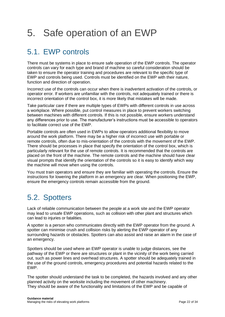# <span id="page-21-0"></span>5. Safe operation of an EWP

# <span id="page-21-1"></span>5.1. EWP controls

There must be systems in place to ensure safe operation of the EWP controls. The operator controls can vary for each type and brand of machine so careful consideration should be taken to ensure the operator training and procedures are relevant to the specific type of EWP and controls being used. Controls must be identified on the EWP with their nature, function and direction of operation.

Incorrect use of the controls can occur when there is inadvertent activation of the controls, or operator error. If workers are unfamiliar with the controls, not adequately trained or there is incorrect orientation of the control box, it is more likely that mistakes will be made.

Take particular care if there are multiple types of EWPs with different controls in use across a workplace. Where possible, put control measures in place to prevent workers switching between machines with different controls. If this is not possible, ensure workers understand any differences prior to use. The manufacturer's instructions must be accessible to operators to facilitate correct use of the EWP.

Portable controls are often used in EWPs to allow operators additional flexibility to move around the work platform. There may be a higher risk of incorrect use with portable or remote controls, often due to mis-orientation of the controls with the movement of the EWP. There should be processes in place that specify the orientation of the control box, which is particularly relevant for the use of remote controls. It is recommended that the controls are placed on the front of the machine. The remote controls and the machine should have clear visual prompts that identify the orientation of the controls so it is easy to identify which way the machine will move when using the controls.

You must train operators and ensure they are familiar with operating the controls. Ensure the instructions for lowering the platform in an emergency are clear. When positioning the EWP, ensure the emergency controls remain accessible from the ground.

# <span id="page-21-2"></span>5.2. Spotters

Lack of reliable communication between the people at a work site and the EWP operator may lead to unsafe EWP operations, such as collision with other plant and structures which can lead to injuries or fatalities.

A spotter is a person who communicates directly with the EWP operator from the ground. A spotter can minimise crush and collision risks by alerting the EWP operator of any surrounding hazards or obstacles. Spotters can also assist and raise an alarm in the case of an emergency.

Spotters should be used where an EWP operator is unable to judge distances, see the pathway of the EWP or there are structures or plant in the vicinity of the work being carried out, such as power lines and overhead structures. A spotter should be adequately trained in the use of the ground controls, emergency procedures and potential hazards related to the EWP.

The spotter should understand the task to be completed, the hazards involved and any other planned activity on the worksite including the movement of other machinery. They should be aware of the functionality and limitations of the EWP and be capable of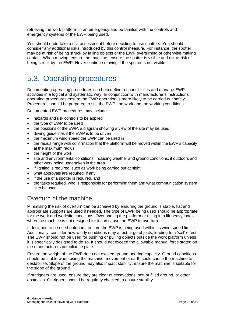retrieving the work platform in an emergency and be familiar with the controls and emergency systems of the EWP being used.

You should undertake a risk assessment before deciding to use spotters. You should consider any additional risks introduced by this control measure. For instance, the spotter may be at risk of being struck by falling objects or the EWP overturning or otherwise making contact. When moving, ensure the machine, ensure the spotter is visible and not at risk of being struck by the EWP. Never continue moving if the spotter is not visible.

# <span id="page-22-0"></span>5.3. Operating procedures

Documenting operating procedures can help define responsibilities and manage EWP activities in a logical and systematic way. In conjunction with manufacturer's instructions, operating procedures ensure the EWP operation is more likely to be carried out safely. Procedures should be prepared to suit the EWP, the work and the working conditions.

Documented EWP procedures may include:

- hazards and risk controls to be applied
- the type of EWP to be used
- the positions of the EWP, a diagram showing a view of the site may be used
- driving guidelines if the EWP is to be driven
- the maximum wind speed the EWP can be used in
- the radius range with confirmation that the platform will be moved within the EWP's capacity at the maximum radius
- the height of the work
- site and environmental conditions, including weather and ground conditions, if outdoors and other work being undertaken in the area
- if lighting is required, such as work being carried out at night
- what approvals are required, if any
- if the use of a spotter is required, and
- the tasks required, who is responsible for performing them and what communication system is to be used.

### Overturn of the machine

Minimising the risk of overturn can be achieved by ensuring the ground is stable, flat and appropriate supports are used if needed. The type of EWP being used should be appropriate for the work and worksite conditions. Overloading the platform or using it to lift heavy loads when the machine is not designed for it can cause the EWP to overturn.

If designed to be used outdoors, ensure the EWP is being used within its wind speed limits. Additionally, consider how windy conditions may affect large objects, leading to a 'sail' effect. The EWP should not be used for pushing or pulling objects outside the work platform unless it is specifically designed to do so. It should not exceed the allowable manual force stated on the manufacturers compliance plate.

Ensure the weight of the EWP does not exceed ground bearing capacity. Ground conditions should be stable when using the machine, movement of earth could cause the machine to destabilise. Slope of the ground may also impact stability, ensure the machine is suitable for the slope of the ground.

If outriggers are used, ensure they are clear of excavations, soft or filled ground, or other obstacles. Outriggers should be regularly checked to ensure stability.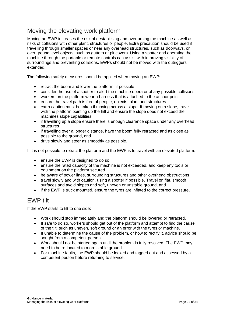### Moving the elevating work platform

Moving an EWP increases the risk of destabilising and overturning the machine as well as risks of collisions with other plant, structures or people. Extra precaution should be used if travelling through smaller spaces or near any overhead structures, such as doorways, or over ground level objects, such as gutters or pit covers. Using a spotter and operating the machine through the portable or remote controls can assist with improving visibility of surroundings and preventing collisions. EWPs should not be moved with the outriggers extended.

The following safety measures should be applied when moving an EWP:

- retract the boom and lower the platform, if possible
- consider the use of a spotter to alert the machine operator of any possible collisions
- workers on the platform wear a harness that is attached to the anchor point
- ensure the travel path is free of people, objects, plant and structures
- extra caution must be taken if moving across a slope. If moving on a slope, travel with the platform pointing up the hill and ensure the slope does not exceed the machines slope capabilities
- if travelling up a slope ensure there is enough clearance space under any overhead structures
- if travelling over a longer distance, have the boom fully retracted and as close as possible to the ground, and
- drive slowly and steer as smoothly as possible.

If it is not possible to retract the platform and the EWP is to travel with an elevated platform:

- ensure the EWP is designed to do so
- ensure the rated capacity of the machine is not exceeded, and keep any tools or equipment on the platform secured
- be aware of power lines, surrounding structures and other overhead obstructions
- travel slowly and with caution, using a spotter if possible. Travel on flat, smooth surfaces and avoid slopes and soft, uneven or unstable ground, and
- if the EWP is truck mounted, ensure the tyres are inflated to the correct pressure.

#### EWP tilt

If the EWP starts to tilt to one side:

- Work should stop immediately and the platform should be lowered or retracted.
- If safe to do so, workers should get out of the platform and attempt to find the cause of the tilt, such as uneven, soft ground or an error with the tyres or machine.
- If unable to determine the cause of the problem, or how to rectify it, advice should be sought from a competent person.
- Work should not be started again until the problem is fully resolved. The EWP may need to be re-located to more stable ground.
- For machine faults, the EWP should be locked and tagged out and assessed by a competent person before returning to service.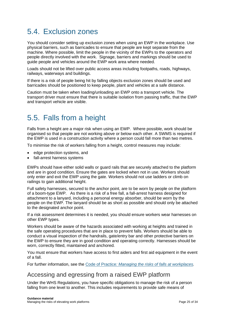# <span id="page-24-0"></span>5.4. Exclusion zones

You should consider setting up exclusion zones when using an EWP in the workplace. Use physical barriers, such as barricades to ensure that people are kept separate from the machine. Where possible, limit the people in the vicinity of the EWPs to the operators and people directly involved with the work. Signage, barriers and markings should be used to guide people and vehicles around the EWP work area where needed.

Loads should not be lifted over public access areas including footpaths, roads, highways, railways, waterways and buildings.

If there is a risk of people being hit by falling objects exclusion zones should be used and barricades should be positioned to keep people, plant and vehicles at a safe distance.

Caution must be taken when loading/unloading an EWP onto a transport vehicle. The transport driver must ensure that there is suitable isolation from passing traffic, that the EWP and transport vehicle are visible.

## <span id="page-24-1"></span>5.5. Falls from a height

Falls from a height are a major risk when using an EWP. Where possible, work should be organised so that people are not working above or below each other. A SWMS is required if the EWP is used in a construction activity where a person could fall more than two metres.

To minimise the risk of workers falling from a height, control measures may include:

- edge protection systems, and
- fall-arrest harness systems

EWPs should have either solid walls or guard rails that are securely attached to the platform and are in good condition. Ensure the gates are locked when not in use. Workers should only enter and exit the EWP using the gate. Workers should not use ladders or climb on railings to gain additional height.

Full safety harnesses, secured to the anchor point, are to be worn by people on the platform of a boom-type EWP. As there is a risk of a free fall, a fall-arrest harness designed for attachment to a lanyard, including a personal energy absorber, should be worn by the people on the EWP. The lanyard should be as short as possible and should only be attached to the designated anchor point.

If a risk assessment determines it is needed, you should ensure workers wear harnesses on other EWP types.

Workers should be aware of the hazards associated with working at heights and trained in the safe operating procedures that are in place to prevent falls. Workers should be able to conduct a visual inspection of the handrails, gate/entry bar and other protective barriers on the EWP to ensure they are in good condition and operating correctly. Harnesses should be worn, correctly fitted, maintained and anchored.

You must ensure that workers have access to first aiders and first aid equipment in the event of a fall.

For further information, see the Code of Practice*[: Managing the risks of falls at workplaces.](https://www.safeworkaustralia.gov.au/doc/model-code-practice-managing-risk-falls-workplaces)* 

#### Accessing and egressing from a raised EWP platform

Under the WHS Regulations, you have specific obligations to manage the risk of a person falling from one level to another. This includes requirements to provide safe means of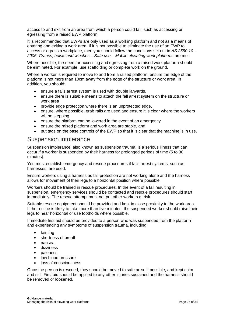access to and exit from an area from which a person could fall, such as accessing or egressing from a raised EWP platform.

It is recommended that EWPs are only used as a working platform and not as a means of entering and exiting a work area. If it is not possible to eliminate the use of an EWP to access or egress a workplace, then you should follow the conditions set out in *AS 2550.10– 2006: Cranes, hoists and winches – Safe use – Mobile elevating work platforms* are met.

Where possible, the need for accessing and egressing from a raised work platform should be eliminated. For example, use scaffolding or complete work on the ground.

Where a worker is required to move to and from a raised platform, ensure the edge of the platform is not more than 10cm away from the edge of the structure or work area. In addition, you should:

- ensure a falls arrest system is used with double lanyards,
- ensure there is suitable means to attach the fall arrest system on the structure or work area
- provide edge protection where there is an unprotected edge,
- ensure, where possible, grab rails are used and ensure it is clear where the workers will be stepping
- ensure the platform can be lowered in the event of an emergency
- ensure the raised platform and work area are stable, and
- put tags on the base controls of the EWP so that it is clear that the machine is in use.

#### Suspension intolerance

Suspension intolerance, also known as suspension trauma, is a serious illness that can occur if a worker is suspended by their harness for prolonged periods of time (5 to 30 minutes).

You must establish emergency and rescue procedures if falls arrest systems, such as harnesses, are used.

Ensure workers using a harness as fall protection are not working alone and the harness allows for movement of their legs to a horizontal position where possible.

Workers should be trained in rescue procedures. In the event of a fall resulting in suspension, emergency services should be contacted and rescue procedures should start immediately. The rescue attempt must not put other workers at risk.

Suitable rescue equipment should be provided and kept in close proximity to the work area. If the rescue is likely to take more than five minutes, the suspended worker should raise their legs to near horizontal or use footholds where possible.

Immediate first aid should be provided to a person who was suspended from the platform and experiencing any symptoms of suspension trauma, including:

- fainting
- shortness of breath
- nausea
- dizziness
- paleness
- low blood pressure
- loss of consciousness

Once the person is rescued, they should be moved to safe area, if possible, and kept calm and still. First aid should be applied to any other injuries sustained and the harness should be removed or loosened.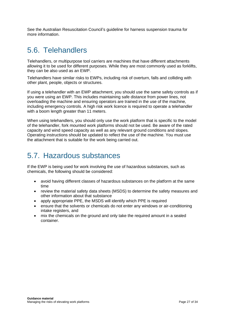See the Australian Resuscitation Council's [guideline](file:///C:/Users/AS3775/AppData/Local/Temp/1/MicrosoftEdgeDownloads/c24006de-a035-4d57-b94d-74b1d5f5c2d8/guideline-9-1-5-july2009.pdf) for harness suspension trauma for more information.

# <span id="page-26-0"></span>5.6. Telehandlers

Telehandlers, or multipurpose tool carriers are machines that have different attachments allowing it to be used for different purposes. While they are most commonly used as forklifts, they can be also used as an EWP.

Telehandlers have similar risks to EWPs, including risk of overturn, falls and colliding with other plant, people, objects or structures.

If using a telehandler with an EWP attachment, you should use the same safety controls as if you were using an EWP. This includes maintaining safe distance from power lines, not overloading the machine and ensuring operators are trained in the use of the machine, including emergency controls. A high risk work licence is required to operate a telehandler with a boom length greater than 11 meters.

When using telehandlers, you should only use the work platform that is specific to the model of the telehandler, fork mounted work platforms should not be used. Be aware of the rated capacity and wind speed capacity as well as any relevant ground conditions and slopes. Operating instructions should be updated to reflect the use of the machine. You must use the attachment that is suitable for the work being carried out.

## <span id="page-26-1"></span>5.7. Hazardous substances

If the EWP is being used for work involving the use of hazardous substances, such as chemicals, the following should be considered:

- avoid having different classes of hazardous substances on the platform at the same time
- review the material safety data sheets (MSDS) to determine the safety measures and other information about that substance
- apply appropriate PPE, the MSDS will identify which PPE is required
- ensure that the solvents or chemicals do not enter any windows or air-conditioning intake registers, and
- mix the chemicals on the ground and only take the required amount in a sealed container.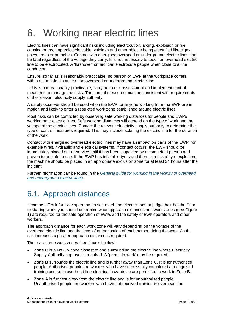# <span id="page-27-0"></span>6. Working near electric lines

Electric lines can have significant risks including electrocution, arcing, explosion or fire causing burns, unpredictable cable whiplash and other objects being electrified like signs, poles, trees or branches. Contact with energised overhead or underground electric lines can be fatal regardless of the voltage they carry. It is not necessary to touch an overhead electric line to be electrocuted. A 'flashover' or 'arc' can electrocute people when close to a line conductor.

Ensure, so far as is reasonably practicable, no person or EWP at the workplace comes within an unsafe distance of an overhead or underground electric line.

If this is not reasonably practicable, carry out a risk assessment and implement control measures to manage the risks. The control measures must be consistent with requirements of the relevant electricity supply authority.

A safety observer should be used when the EWP, or anyone working from the EWP are in motion and likely to enter a restricted work zone established around electric lines.

Most risks can be controlled by observing safe working distances for people and EWPs working near electric lines. Safe working distances will depend on the type of work and the voltage of the electric lines. Contact the relevant electricity supply authority to determine the type of control measures required. This may include isolating the electric line for the duration of the work.

Contact with energised overhead electric lines may have an impact on parts of the EWP, for example tyres, hydraulic and electrical systems. If contact occurs, the EWP should be immediately placed out-of-service until it has been inspected by a competent person and proven to be safe to use. If the EWP has inflatable tyres and there is a risk of tyre explosion, the machine should be placed in an appropriate exclusion zone for at least 24 hours after the incident.

Further information can be found in the *[General guide for working in the vicinity of overhead](https://www.safeworkaustralia.gov.au/doc/overhead-underground-electric-lines-general-guide)  [and underground electric lines](https://www.safeworkaustralia.gov.au/doc/overhead-underground-electric-lines-general-guide)*.

# <span id="page-27-1"></span>6.1. Approach distances

It can be difficult for EWP operators to see overhead electric lines or judge their height. Prior to starting work, you should determine what approach distances and work zones (see Figure 1) are required for the safe operation of EWPs and the safety of EWP operators and other workers.

The approach distance for each work zone will vary depending on the voltage of the overhead electric line and the level of authorisation of each person doing the work. As the risk increases a greater approach distance is required.

There are three work zones (see figure 1 below):

- **Zone C** is a No Go Zone closest to and surrounding the electric line where Electricity Supply Authority approval is required. A 'permit to work' may be required.
- **Zone B** surrounds the electric line and is further away than Zone C. It is for authorised people. Authorised people are workers who have successfully completed a recognised training course in overhead line electrical hazards so are permitted to work in Zone B.
- **Zone A** is furthest away from the electric line and is for unauthorised people. Unauthorised people are workers who have not received training in overhead line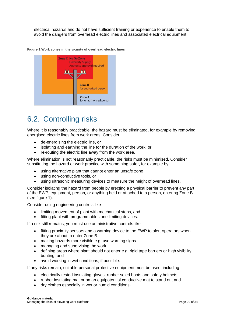electrical hazards and do not have sufficient training or experience to enable them to avoid the dangers from overhead electric lines and associated electrical equipment.

**Figure 1 Work zones in the vicinity of overhead electric lines**



# <span id="page-28-0"></span>6.2. Controlling risks

Where it is reasonably practicable, the hazard must be eliminated, for example by removing energised electric lines from work areas. Consider:

- de-energising the electric line, or
- isolating and earthing the line for the duration of the work, or
- re-routing the electric line away from the work area.

Where elimination is not reasonably practicable, the risks must be minimised. Consider substituting the hazard or work practice with something safer, for example by:

- using alternative plant that cannot enter an unsafe zone
- using non-conductive tools, or
- using ultrasonic measuring devices to measure the height of overhead lines.

Consider isolating the hazard from people by erecting a physical barrier to prevent any part of the EWP, equipment, person, or anything held or attached to a person, entering Zone B (see figure 1).

Consider using engineering controls like:

- limiting movement of plant with mechanical stops, and
- fitting plant with programmable zone limiting devices.

If a risk still remains, you must use administrative controls like:

- fitting proximity sensors and a warning device to the EWP to alert operators when they are about to enter Zone B.
- making hazards more visible e.g. use warning signs
- managing and supervising the work
- defining areas where plant should not enter e.g. rigid tape barriers or high visibility bunting, and
- avoid working in wet conditions, if possible.

If any risks remain, suitable personal protective equipment must be used, including:

- electrically tested insulating gloves, rubber soled boots and safety helmets
- rubber insulating mat or on an equipotential conductive mat to stand on, and
- dry clothes especially in wet or humid conditions·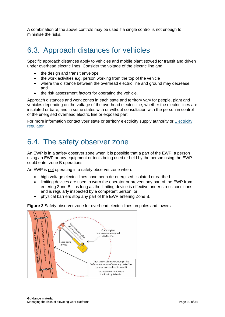A combination of the above controls may be used if a single control is not enough to minimise the risks.

## <span id="page-29-0"></span>6.3. Approach distances for vehicles

Specific approach distances apply to vehicles and mobile plant stowed for transit and driven under overhead electric lines. Consider the voltage of the electric line and:

- the design and transit envelope
- the work activities e.g. person working from the top of the vehicle
- where the distance between the overhead electric line and ground may decrease. and
- the risk assessment factors for operating the vehicle.

Approach distances and work zones in each state and territory vary for people, plant and vehicles depending on the voltage of the overhead electric line, whether the electric lines are insulated or bare, and in some states with or without consultation with the person in control of the energised overhead electric line or exposed part.

<span id="page-29-1"></span>For more information contact your state or territory electricity supply authority or **Electricity** [regulator.](https://www.safeworkaustralia.gov.au/whs-authorities-contact-information)

### 6.4. The safety observer zone

An EWP is in a safety observer zone when it is possible that a part of the EWP, a person using an EWP or any equipment or tools being used or held by the person using the EWP could enter zone B operations.

An EWP is not operating in a safety observer zone when:

- high voltage electric lines have been de-energised, isolated or earthed
- limiting devices are used to warn the operator or prevent any part of the EWP from entering Zone B—as long as the limiting device is effective under stress conditions and is regularly inspected by a competent person, or
- physical barriers stop any part of the EWP entering Zone B.



**Figure 2** Safety observer zone for overhead electric lines on poles and towers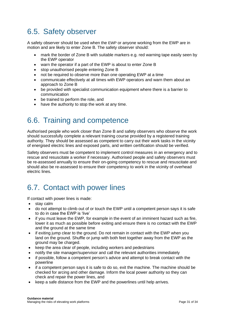### <span id="page-30-0"></span>6.5. Safety observer

A safety observer should be used when the EWP or anyone working from the EWP are in motion and are likely to enter Zone B. The safety observer should:

- mark the border of Zone B with suitable markers e.g. red warning tape easily seen by the EWP operator
- warn the operator if a part of the EWP is about to enter Zone B
- stop unauthorised people entering Zone B
- not be required to observe more than one operating EWP at a time
- communicate effectively at all times with EWP operators and warn them about an approach to Zone B
- be provided with specialist communication equipment where there is a barrier to communication
- be trained to perform the role, and
- <span id="page-30-1"></span>have the authority to stop the work at any time.

### 6.6. Training and competence

Authorised people who work closer than Zone B and safety observers who observe the work should successfully complete a relevant training course provided by a registered training authority. They should be assessed as competent to carry out their work tasks in the vicinity of energised electric lines and exposed parts, and written certification should be verified.

Safety observers must be competent to implement control measures in an emergency and to rescue and resuscitate a worker if necessary. Authorised people and safety observers must be re-assessed annually to ensure their on-going competency to rescue and resuscitate and should also be re-assessed to ensure their competency to work in the vicinity of overhead electric lines.

## <span id="page-30-2"></span>6.7. Contact with power lines

If contact with power lines is made:

- stay calm
- do not attempt to climb out of or touch the EWP until a competent person says it is safe to do in case the EWP is 'live'
- if you must leave the EWP, for example in the event of an imminent hazard such as fire, lower it as much as possible before exiting and ensure there is no contact with the EWP and the ground at the same time
- if exiting jump clear to the ground. Do not remain in contact with the EWP when you land on the ground. Shuffle or jump with both feet together away from the EWP as the ground may be charged.
- keep the area clear of people, including workers and pedestrians
- notify the site manager/supervisor and call the relevant authorities immediately
- if possible, follow a competent person's advice and attempt to break contact with the powerline
- if a competent person says it is safe to do so, exit the machine. The machine should be checked for arcing and other damage. Inform the local power authority so they can check and repair the power lines, and
- keep a safe distance from the EWP and the powerlines until help arrives.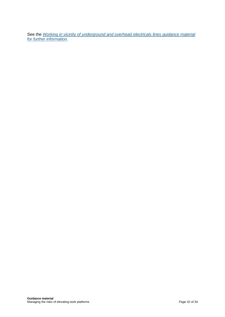See the *Working in vicinity of underground [and overhead electricals lines guidance material](https://www.safeworkaustralia.gov.au/collection/working-vicinity-overhead-and-underground-electric-lines-guidance-material)  [for further information](https://www.safeworkaustralia.gov.au/collection/working-vicinity-overhead-and-underground-electric-lines-guidance-material)*.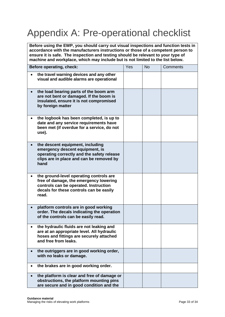# <span id="page-32-0"></span>Appendix A: Pre-operational checklist

**Before using the EWP, you should carry out visual inspections and function tests in accordance with the manufacturers instructions or those of a competent person to ensure it is safe. The inspection and testing should be relevant to your type of machine and workplace, which may include but is not limited to the list below.** 

| Before operating, check: |                                                                                                                                                                                | Yes | <b>No</b> | Comments |
|--------------------------|--------------------------------------------------------------------------------------------------------------------------------------------------------------------------------|-----|-----------|----------|
|                          | the travel warning devices and any other<br>visual and audible alarms are operational                                                                                          |     |           |          |
|                          | the load bearing parts of the boom arm<br>are not bent or damaged. If the boom is<br>insulated, ensure it is not compromised<br>by foreign matter                              |     |           |          |
|                          | the logbook has been completed, is up to<br>date and any service requirements have<br>been met (if overdue for a service, do not<br>use).                                      |     |           |          |
|                          | the descent equipment, including<br>emergency descent equipment, is<br>operating correctly and the safety release<br>clips are in place and can be removed by<br>hand          |     |           |          |
|                          | the ground-level operating controls are<br>free of damage, the emergency lowering<br>controls can be operated. Instruction<br>decals for these controls can be easily<br>read. |     |           |          |
|                          | platform controls are in good working<br>order. The decals indicating the operation<br>of the controls can be easily read.                                                     |     |           |          |
|                          | the hydraulic fluids are not leaking and<br>are at an appropriate level. All hydraulic<br>hoses and fittings are securely attached<br>and free from leaks.                     |     |           |          |
|                          | the outriggers are in good working order,<br>with no leaks or damage.                                                                                                          |     |           |          |
|                          | the brakes are in good working order.                                                                                                                                          |     |           |          |
|                          | the platform is clear and free of damage or<br>obstructions, the platform mounting pins<br>are secure and in good condition and the                                            |     |           |          |